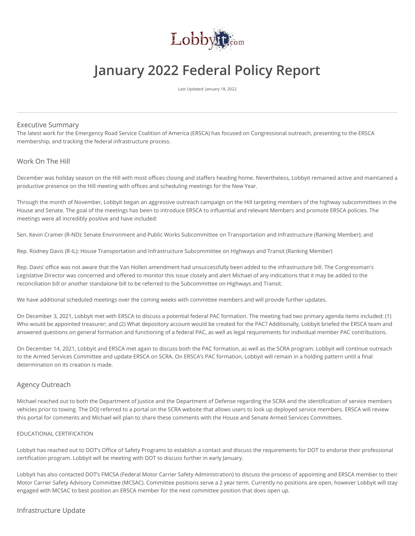

# **January 2022 Federal Policy Report**

Last Updated: January 18, 2022

## Executive Summary

The latest work for the Emergency Road Service Coalition of America (ERSCA) has focused on Congressional outreach, presenting to the ERSCA membership, and tracking the federal infrastructure process.

# Work On The Hill

December was holiday season on the Hill with most offices closing and staffers heading home. Nevertheless, Lobbyit remained active and maintained a productive presence on the Hill meeting with offices and scheduling meetings for the New Year.

Through the month of November, Lobbyit began an aggressive outreach campaign on the Hill targeting members of the highway subcommittees in the House and Senate. The goal of the meetings has been to introduce ERSCA to influential and relevant Members and promote ERSCA policies. The meetings were all incredibly positive and have included:

Sen. Kevin Cramer (R-ND): Senate Environment and Public Works Subcommittee on Transportation and Infrastructure (Ranking Member); and

Rep. Rodney Davis (R-IL): House Transportation and Infrastructure Subcommittee on Highways and Transit (Ranking Member)

Rep. Davis' office was not aware that the Van Hollen amendment had unsuccessfully been added to the infrastructure bill. The Congressman's Legislative Director was concerned and offered to monitor this issue closely and alert Michael of any indications that it may be added to the reconciliation bill or another standalone bill to be referred to the Subcommittee on Highways and Transit.

We have additional scheduled meetings over the coming weeks with committee members and will provide further updates.

On December 3, 2021, Lobbyit met with ERSCA to discuss a potential federal PAC formation. The meeting had two primary agenda items included: (1) Who would be appointed treasurer; and (2) What depository account would be created for the PAC? Additionally, Lobbyit briefed the ERSCA team and answered questions on general formation and functioning of a federal PAC, as well as legal requirements for individual member PAC contributions.

On December 14, 2021, Lobbyit and ERSCA met again to discuss both the PAC formation, as well as the SCRA program. Lobbyit will continue outreach to the Armed Services Committee and update ERSCA on SCRA. On ERSCA's PAC formation, Lobbyit will remain in a holding pattern until a final determination on its creation is made.

# Agency Outreach

Michael reached out to both the Department of Justice and the Department of Defense regarding the SCRA and the identification of service members vehicles prior to towing. The DOJ referred to a portal on the SCRA website that allows users to look up deployed service members. ERSCA will review this portal for comments and Michael will plan to share these comments with the House and Senate Armed Services Committees.

#### EDUCATIONAL CERTIFICATION

Lobbyit has reached out to DOT's Office of Safety Programs to establish a contact and discuss the requirements for DOT to endorse their professional certification program. Lobbyit will be meeting with DOT to discuss further in early January.

Lobbyit has also contacted DOT's FMCSA (Federal Motor Carrier Safety Administration) to discuss the process of appointing and ERSCA member to their Motor Carrier Safety Advisory Committee (MCSAC). Committee positions serve a 2 year term. Currently no positions are open, however Lobbyit will stay engaged with MCSAC to best position an ERSCA member for the next committee position that does open up.

## Infrastructure Update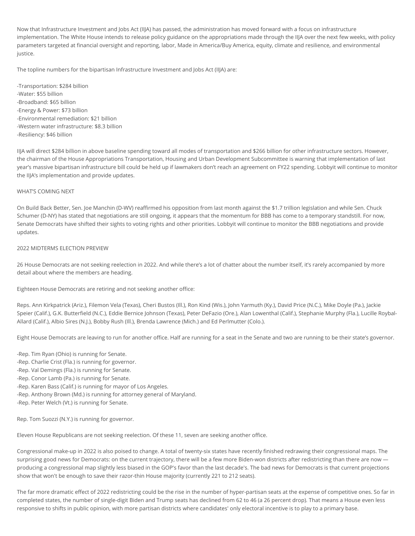Now that Infrastructure Investment and Jobs Act (IIJA) has passed, the administration has moved forward with a focus on infrastructure implementation. The White House intends to release policy guidance on the appropriations made through the IIJA over the next few weeks, with policy parameters targeted at financial oversight and reporting, labor, Made in America/Buy America, equity, climate and resilience, and environmental justice.

The topline numbers for the bipartisan Infrastructure Investment and Jobs Act (IIJA) are:

-Transportation: \$284 billion -Water: \$55 billion -Broadband: \$65 billion -Energy & Power: \$73 billion -Environmental remediation: \$21 billion -Western water infrastructure: \$8.3 billion -Resiliency: \$46 billion

IIJA will direct \$284 billion in above baseline spending toward all modes of transportation and \$266 billion for other infrastructure sectors. However, the chairman of the House Appropriations Transportation, Housing and Urban Development Subcommittee is warning that implementation of last year's massive bipartisan infrastructure bill could be held up if lawmakers don't reach an agreement on FY22 spending. Lobbyit will continue to monitor the IIJA's implementation and provide updates.

#### WHAT'S COMING NEXT

On Build Back Better, Sen. Joe Manchin (D-WV) reaffirmed his opposition from last month against the \$1.7 trillion legislation and while Sen. Chuck Schumer (D-NY) has stated that negotiations are still ongoing, it appears that the momentum for BBB has come to a temporary standstill. For now, Senate Democrats have shifted their sights to voting rights and other priorities. Lobbyit will continue to monitor the BBB negotiations and provide updates.

#### 2022 MIDTERMS ELECTION PREVIEW

26 House Democrats are not seeking reelection in 2022. And while there's a lot of chatter about the number itself, it's rarely accompanied by more detail about where the members are heading.

Eighteen House Democrats are retiring and not seeking another office:

Reps. Ann Kirkpatrick (Ariz.), Filemon Vela (Texas), Cheri Bustos (Ill.), Ron Kind (Wis.), John Yarmuth (Ky.), David Price (N.C.), Mike Doyle (Pa.), Jackie Speier (Calif.), G.K. Butterfield (N.C.), Eddie Bernice Johnson (Texas), Peter DeFazio (Ore.), Alan Lowenthal (Calif.), Stephanie Murphy (Fla.), Lucille Roybal-Allard (Calif.), Albio Sires (N.J.), Bobby Rush (Ill.), Brenda Lawrence (Mich.) and Ed Perlmutter (Colo.).

Eight House Democrats are leaving to run for another office. Half are running for a seat in the Senate and two are running to be their state's governor.

-Rep. Tim Ryan (Ohio) is running for Senate. -Rep. Charlie Crist (Fla.) is running for governor.

-Rep. Val Demings (Fla.) is running for Senate.

-Rep. Conor Lamb (Pa.) is running for Senate.

- -Rep. Karen Bass (Calif.) is running for mayor of Los Angeles.
- -Rep. Anthony Brown (Md.) is running for attorney general of Maryland.
- -Rep. Peter Welch (Vt.) is running for Senate.

Rep. Tom Suozzi (N.Y.) is running for governor.

Eleven House Republicans are not seeking reelection. Of these 11, seven are seeking another office.

Congressional make-up in 2022 is also poised to change. A total of twenty-six states have recently finished redrawing their congressional maps. The surprising good news for Democrats: on the current trajectory, there will be a few more Biden-won districts after redistricting than there are now producing a congressional map slightly less biased in the GOP's favor than the last decade's. The bad news for Democrats is that current projections show that won't be enough to save their razor-thin House majority (currently 221 to 212 seats).

The far more dramatic effect of 2022 redistricting could be the rise in the number of hyper-partisan seats at the expense of competitive ones. So far in completed states, the number of single-digit Biden and Trump seats has declined from 62 to 46 (a 26 percent drop). That means a House even less responsive to shifts in public opinion, with more partisan districts where candidates' only electoral incentive is to play to a primary base.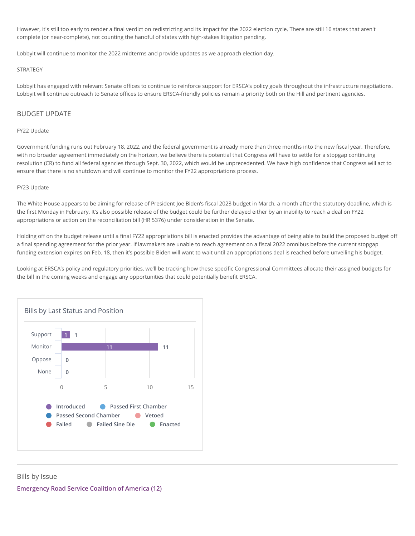However, it's still too early to render a final verdict on redistricting and its impact for the 2022 election cycle. There are still 16 states that aren't complete (or near-complete), not counting the handful of states with high-stakes litigation pending.

Lobbyit will continue to monitor the 2022 midterms and provide updates as we approach election day.

#### **STRATEGY**

Lobbyit has engaged with relevant Senate offices to continue to reinforce support for ERSCA's policy goals throughout the infrastructure negotiations. Lobbyit will continue outreach to Senate offices to ensure ERSCA-friendly policies remain a priority both on the Hill and pertinent agencies.

## BUDGET UPDATE

#### FY22 Update

Government funding runs out February 18, 2022, and the federal government is already more than three months into the new fiscal year. Therefore, with no broader agreement immediately on the horizon, we believe there is potential that Congress will have to settle for a stopgap continuing resolution (CR) to fund all federal agencies through Sept. 30, 2022, which would be unprecedented. We have high confidence that Congress will act to ensure that there is no shutdown and will continue to monitor the FY22 appropriations process.

#### FY23 Update

The White House appears to be aiming for release of President Joe Biden's fiscal 2023 budget in March, a month after the statutory deadline, which is the first Monday in February. It's also possible release of the budget could be further delayed either by an inability to reach a deal on FY22 appropriations or action on the reconciliation bill (HR 5376) under consideration in the Senate.

Holding off on the budget release until a final FY22 appropriations bill is enacted provides the advantage of being able to build the proposed budget off a final spending agreement for the prior year. If lawmakers are unable to reach agreement on a fiscal 2022 omnibus before the current stopgap funding extension expires on Feb. 18, then it's possible Biden will want to wait until an appropriations deal is reached before unveiling his budget.

Looking at ERSCA's policy and regulatory priorities, we'll be tracking how these specific Congressional Committees allocate their assigned budgets for the bill in the coming weeks and engage any opportunities that could potentially benefit ERSCA.



#### Bills by Issue

**Emergency Road Service Coalition of America (12)**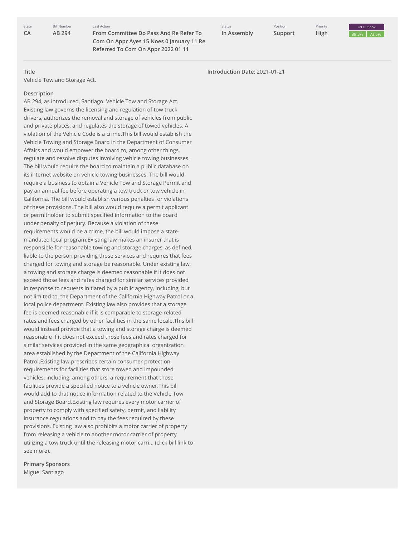State **[CA](http://app.fiscalnote.com/share/bill?url=f08716a6d4475d9510b69943ffcd3a58)** Last Action

**From Committee Do Pass And Re Refer To**

**Com On Appr Ayes 15 Noes 0 January 11 Re Referred To Com On Appr 2022 01 11**

Status **In Assembly** Position **Support**

Priority **High**



**Title**

Vehicle Tow and Storage Act.

Bill Number **AB [294](http://app.fiscalnote.com/share/bill?url=f08716a6d4475d9510b69943ffcd3a58)**

#### **Description**

AB 294, as introduced, Santiago. Vehicle Tow and Storage Act. Existing law governs the licensing and regulation of tow truck drivers, authorizes the removal and storage of vehicles from public and private places, and regulates the storage of towed vehicles. A violation of the Vehicle Code is a crime.This bill would establish the Vehicle Towing and Storage Board in the Department of Consumer Affairs and would empower the board to, among other things, regulate and resolve disputes involving vehicle towing businesses. The bill would require the board to maintain a public database on its internet website on vehicle towing businesses. The bill would require a business to obtain a Vehicle Tow and Storage Permit and pay an annual fee before operating a tow truck or tow vehicle in California. The bill would establish various penalties for violations of these provisions. The bill also would require a permit applicant or permitholder to submit specified information to the board under penalty of perjury. Because a violation of these requirements would be a crime, the bill would impose a statemandated local program.Existing law makes an insurer that is responsible for reasonable towing and storage charges, as defined, liable to the person providing those services and requires that fees charged for towing and storage be reasonable. Under existing law, a towing and storage charge is deemed reasonable if it does not exceed those fees and rates charged for similar services provided in response to requests initiated by a public agency, including, but not limited to, the Department of the California Highway Patrol or a local police department. Existing law also provides that a storage fee is deemed reasonable if it is comparable to storage-related rates and fees charged by other facilities in the same locale.This bill would instead provide that a towing and storage charge is deemed reasonable if it does not exceed those fees and rates charged for similar services provided in the same geographical organization area established by the Department of the California Highway Patrol.Existing law prescribes certain consumer protection requirements for facilities that store towed and impounded vehicles, including, among others, a requirement that those facilities provide a specified notice to a vehicle owner.This bill would add to that notice information related to the Vehicle Tow and Storage Board.Existing law requires every motor carrier of property to comply with specified safety, permit, and liability insurance regulations and to pay the fees required by these provisions. Existing law also prohibits a motor carrier of property from releasing a vehicle to another motor carrier of property utilizing a tow truck until the releasing motor carri... (click bill link to see more).

**Primary Sponsors** Miguel Santiago

**Introduction Date:** 2021-01-21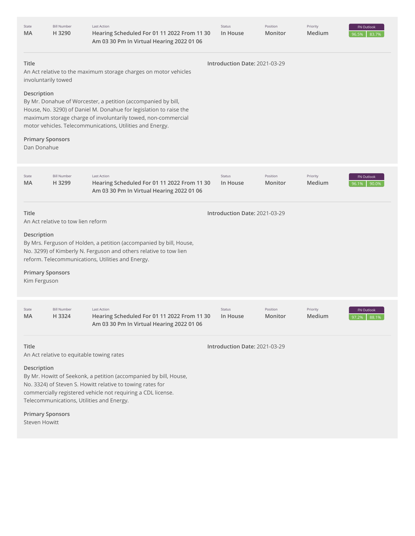| State<br>МA                                                                                                                                                                                                                                                                                                                                                                                    | <b>Bill Number</b><br>H 3290                                  | <b>Last Action</b><br>Hearing Scheduled For 01 11 2022 From 11 30<br>Am 03 30 Pm In Virtual Hearing 2022 01 06                                                                                                                                                                                                                        | Status<br>In House            | Position<br>Monitor | Priority<br>Medium | FN Outlook<br>83.7%<br>96.5% |
|------------------------------------------------------------------------------------------------------------------------------------------------------------------------------------------------------------------------------------------------------------------------------------------------------------------------------------------------------------------------------------------------|---------------------------------------------------------------|---------------------------------------------------------------------------------------------------------------------------------------------------------------------------------------------------------------------------------------------------------------------------------------------------------------------------------------|-------------------------------|---------------------|--------------------|------------------------------|
| Title<br>Description                                                                                                                                                                                                                                                                                                                                                                           | involuntarily towed<br><b>Primary Sponsors</b>                | An Act relative to the maximum storage charges on motor vehicles<br>By Mr. Donahue of Worcester, a petition (accompanied by bill,<br>House, No. 3290) of Daniel M. Donahue for legislation to raise the<br>maximum storage charge of involuntarily towed, non-commercial<br>motor vehicles. Telecommunications, Utilities and Energy. | Introduction Date: 2021-03-29 |                     |                    |                              |
| Dan Donahue<br>State<br>МA                                                                                                                                                                                                                                                                                                                                                                     | <b>Bill Number</b><br>H 3299                                  | <b>Last Action</b><br>Hearing Scheduled For 01 11 2022 From 11 30<br>Am 03 30 Pm In Virtual Hearing 2022 01 06                                                                                                                                                                                                                        | Status<br>In House            | Position<br>Monitor | Priority<br>Medium | FN Outlook<br>90.0%<br>96.1% |
| Title<br>Description<br>Kim Ferguson                                                                                                                                                                                                                                                                                                                                                           | An Act relative to tow lien reform<br><b>Primary Sponsors</b> | By Mrs. Ferguson of Holden, a petition (accompanied by bill, House,<br>No. 3299) of Kimberly N. Ferguson and others relative to tow lien<br>reform. Telecommunications, Utilities and Energy.                                                                                                                                         | Introduction Date: 2021-03-29 |                     |                    |                              |
| State<br>MA                                                                                                                                                                                                                                                                                                                                                                                    | <b>Bill Number</b><br>H 3324                                  | Last Action<br>Hearing Scheduled For 01 11 2022 From 11 30<br>Am 03 30 Pm In Virtual Hearing 2022 01 06                                                                                                                                                                                                                               | Status<br>In House            | Position<br>Monitor | Priority<br>Medium | FN Outlook<br>97.2%<br>88.1% |
| Title<br>Introduction Date: 2021-03-29<br>An Act relative to equitable towing rates<br>Description<br>By Mr. Howitt of Seekonk, a petition (accompanied by bill, House,<br>No. 3324) of Steven S. Howitt relative to towing rates for<br>commercially registered vehicle not requiring a CDL license.<br>Telecommunications, Utilities and Energy.<br><b>Primary Sponsors</b><br>Steven Howitt |                                                               |                                                                                                                                                                                                                                                                                                                                       |                               |                     |                    |                              |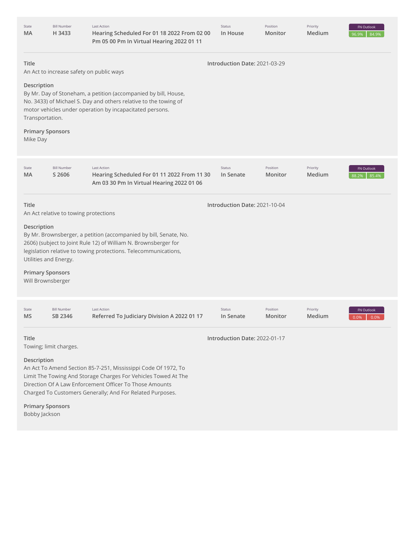| State<br>MA                    | <b>Bill Number</b><br>H 3433                                                                                                                                                                                                                    | Last Action<br>Hearing Scheduled For 01 18 2022 From 02 00<br>Pm 05 00 Pm In Virtual Hearing 2022 01 11                                                                                                                                                  | Status<br>In House            | Position<br>Monitor | Priority<br>Medium | FN Outlook<br>84.9%<br>96.9% |  |
|--------------------------------|-------------------------------------------------------------------------------------------------------------------------------------------------------------------------------------------------------------------------------------------------|----------------------------------------------------------------------------------------------------------------------------------------------------------------------------------------------------------------------------------------------------------|-------------------------------|---------------------|--------------------|------------------------------|--|
| Title                          |                                                                                                                                                                                                                                                 | An Act to increase safety on public ways                                                                                                                                                                                                                 | Introduction Date: 2021-03-29 |                     |                    |                              |  |
| Description<br>Transportation. |                                                                                                                                                                                                                                                 | By Mr. Day of Stoneham, a petition (accompanied by bill, House,<br>No. 3433) of Michael S. Day and others relative to the towing of<br>motor vehicles under operation by incapacitated persons.                                                          |                               |                     |                    |                              |  |
| Mike Day                       | <b>Primary Sponsors</b>                                                                                                                                                                                                                         |                                                                                                                                                                                                                                                          |                               |                     |                    |                              |  |
| State<br><b>MA</b>             | <b>Bill Number</b><br>S 2606                                                                                                                                                                                                                    | Last Action<br>Hearing Scheduled For 01 11 2022 From 11 30<br>Am 03 30 Pm In Virtual Hearing 2022 01 06                                                                                                                                                  | Status<br>In Senate           | Position<br>Monitor | Priority<br>Medium | FN Outlook<br>85.4%<br>88.2% |  |
| Title                          | Introduction Date: 2021-10-04<br>An Act relative to towing protections                                                                                                                                                                          |                                                                                                                                                                                                                                                          |                               |                     |                    |                              |  |
|                                | Description<br>By Mr. Brownsberger, a petition (accompanied by bill, Senate, No.<br>2606) (subject to Joint Rule 12) of William N. Brownsberger for<br>legislation relative to towing protections. Telecommunications,<br>Utilities and Energy. |                                                                                                                                                                                                                                                          |                               |                     |                    |                              |  |
|                                | <b>Primary Sponsors</b><br>Will Brownsberger                                                                                                                                                                                                    |                                                                                                                                                                                                                                                          |                               |                     |                    |                              |  |
| State<br>MS                    | <b>Bill Number</b><br>SB 2346                                                                                                                                                                                                                   | <b>Last Action</b><br>Referred To Judiciary Division A 2022 01 17                                                                                                                                                                                        | Status<br>In Senate           | Position<br>Monitor | Priority<br>Medium | FN Outlook<br>0.0%<br>0.0%   |  |
| <b>Title</b>                   | Introduction Date: 2022-01-17<br>Towing; limit charges.                                                                                                                                                                                         |                                                                                                                                                                                                                                                          |                               |                     |                    |                              |  |
| Description                    |                                                                                                                                                                                                                                                 | An Act To Amend Section 85-7-251, Mississippi Code Of 1972, To<br>Limit The Towing And Storage Charges For Vehicles Towed At The<br>Direction Of A Law Enforcement Officer To Those Amounts<br>Charged To Customers Generally; And For Related Purposes. |                               |                     |                    |                              |  |
| Bobby Jackson                  | <b>Primary Sponsors</b>                                                                                                                                                                                                                         |                                                                                                                                                                                                                                                          |                               |                     |                    |                              |  |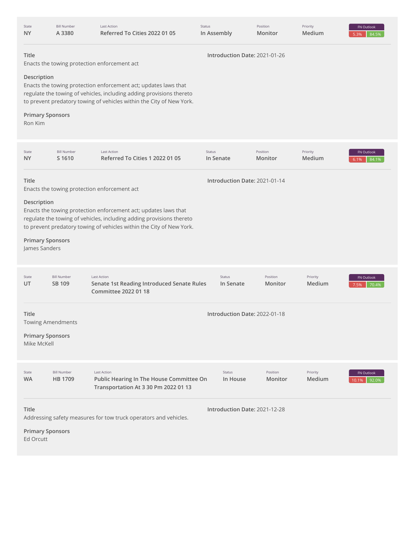| State<br><b>NY</b> | <b>Bill Number</b><br>A 3380                              | Last Action<br>Referred To Cities 2022 01 05                                                                                                                                                                    | Status<br>In Assembly         | Position<br>Monitor | Priority<br>Medium | FN Outlook<br>84.5%<br>5.3%  |
|--------------------|-----------------------------------------------------------|-----------------------------------------------------------------------------------------------------------------------------------------------------------------------------------------------------------------|-------------------------------|---------------------|--------------------|------------------------------|
| Title              |                                                           | Enacts the towing protection enforcement act                                                                                                                                                                    | Introduction Date: 2021-01-26 |                     |                    |                              |
| Description        |                                                           | Enacts the towing protection enforcement act; updates laws that<br>regulate the towing of vehicles, including adding provisions thereto<br>to prevent predatory towing of vehicles within the City of New York. |                               |                     |                    |                              |
| Ron Kim            | <b>Primary Sponsors</b>                                   |                                                                                                                                                                                                                 |                               |                     |                    |                              |
| State<br><b>NY</b> | <b>Bill Number</b><br>S 1610                              | Last Action<br>Referred To Cities 1 2022 01 05                                                                                                                                                                  | Status<br>In Senate           | Position<br>Monitor | Priority<br>Medium | FN Outlook<br>84.1%<br>6.1%  |
| Title              |                                                           | Enacts the towing protection enforcement act                                                                                                                                                                    | Introduction Date: 2021-01-14 |                     |                    |                              |
| Description        |                                                           | Enacts the towing protection enforcement act; updates laws that<br>regulate the towing of vehicles, including adding provisions thereto<br>to prevent predatory towing of vehicles within the City of New York. |                               |                     |                    |                              |
| James Sanders      | <b>Primary Sponsors</b>                                   |                                                                                                                                                                                                                 |                               |                     |                    |                              |
| State<br>UT        | <b>Bill Number</b><br>SB 109                              | <b>Last Action</b><br>Senate 1st Reading Introduced Senate Rules<br><b>Committee 2022 01 18</b>                                                                                                                 | Status<br>In Senate           | Position<br>Monitor | Priority<br>Medium | FN Outlook<br>70.4%<br>7.5%  |
| Title              | Introduction Date: 2022-01-18<br><b>Towing Amendments</b> |                                                                                                                                                                                                                 |                               |                     |                    |                              |
| Mike McKell        | <b>Primary Sponsors</b>                                   |                                                                                                                                                                                                                 |                               |                     |                    |                              |
| State<br><b>WA</b> | <b>Bill Number</b><br>HB 1709                             | <b>Last Action</b><br>Public Hearing In The House Committee On<br>Transportation At 3 30 Pm 2022 01 13                                                                                                          | Status<br>In House            | Position<br>Monitor | Priority<br>Medium | FN Outlook<br>92.0%<br>10.1% |
| Title              |                                                           | Addressing safety measures for tow truck operators and vehicles.                                                                                                                                                | Introduction Date: 2021-12-28 |                     |                    |                              |
| Ed Orcutt          | <b>Primary Sponsors</b>                                   |                                                                                                                                                                                                                 |                               |                     |                    |                              |